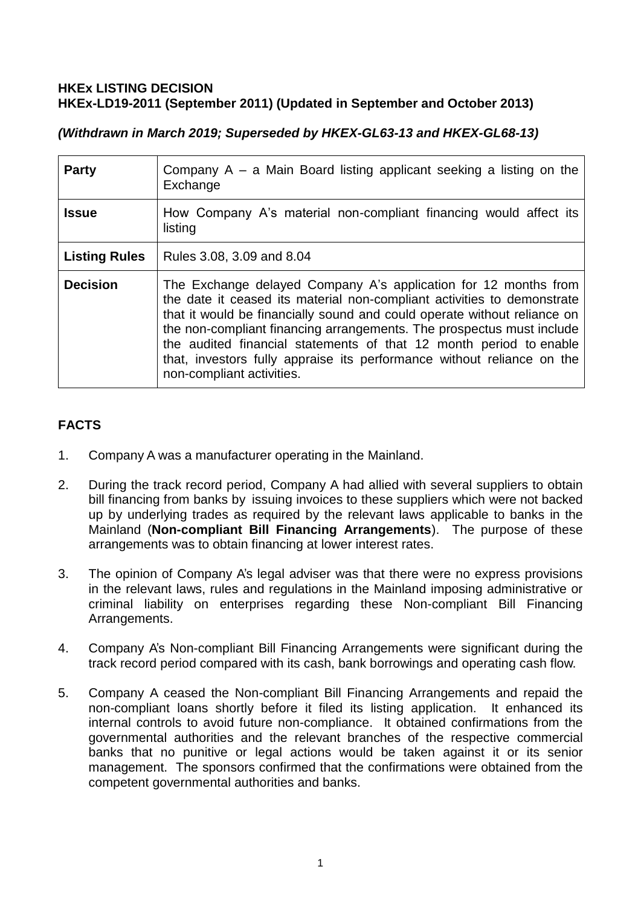# **HKEx LISTING DECISION HKEx-LD19-2011 (September 2011) (Updated in September and October 2013)**

*(Withdrawn in March 2019; Superseded by HKEX-GL63-13 and HKEX-GL68-13)*

| <b>Party</b>         | Company $A - a$ Main Board listing applicant seeking a listing on the<br>Exchange                                                                                                                                                                                                                                                                                                                                                                                            |
|----------------------|------------------------------------------------------------------------------------------------------------------------------------------------------------------------------------------------------------------------------------------------------------------------------------------------------------------------------------------------------------------------------------------------------------------------------------------------------------------------------|
| <b>Issue</b>         | How Company A's material non-compliant financing would affect its<br>listing                                                                                                                                                                                                                                                                                                                                                                                                 |
| <b>Listing Rules</b> | Rules 3.08, 3.09 and 8.04                                                                                                                                                                                                                                                                                                                                                                                                                                                    |
| <b>Decision</b>      | The Exchange delayed Company A's application for 12 months from<br>the date it ceased its material non-compliant activities to demonstrate<br>that it would be financially sound and could operate without reliance on<br>the non-compliant financing arrangements. The prospectus must include<br>the audited financial statements of that 12 month period to enable<br>that, investors fully appraise its performance without reliance on the<br>non-compliant activities. |

# **FACTS**

- 1. Company A was a manufacturer operating in the Mainland.
- 2. During the track record period, Company A had allied with several suppliers to obtain bill financing from banks by issuing invoices to these suppliers which were not backed up by underlying trades as required by the relevant laws applicable to banks in the Mainland (**Non-compliant Bill Financing Arrangements**). The purpose of these arrangements was to obtain financing at lower interest rates.
- 3. The opinion of Company A's legal adviser was that there were no express provisions in the relevant laws, rules and regulations in the Mainland imposing administrative or criminal liability on enterprises regarding these Non-compliant Bill Financing Arrangements.
- 4. Company A's Non-compliant Bill Financing Arrangements were significant during the track record period compared with its cash, bank borrowings and operating cash flow.
- 5. Company A ceased the Non-compliant Bill Financing Arrangements and repaid the non-compliant loans shortly before it filed its listing application. It enhanced its internal controls to avoid future non-compliance. It obtained confirmations from the governmental authorities and the relevant branches of the respective commercial banks that no punitive or legal actions would be taken against it or its senior management. The sponsors confirmed that the confirmations were obtained from the competent governmental authorities and banks.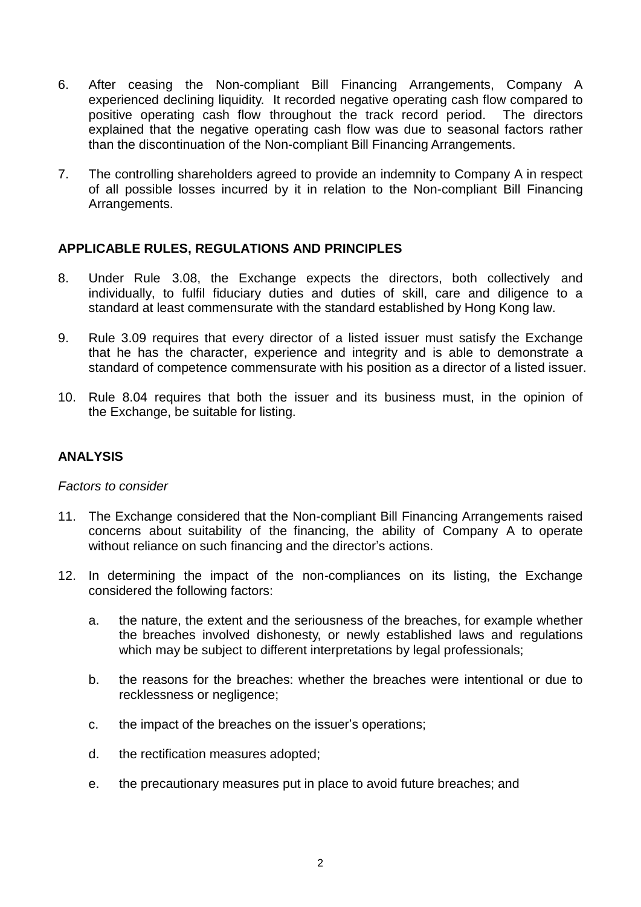- 6. After ceasing the Non-compliant Bill Financing Arrangements, Company A experienced declining liquidity. It recorded negative operating cash flow compared to positive operating cash flow throughout the track record period. The directors explained that the negative operating cash flow was due to seasonal factors rather than the discontinuation of the Non-compliant Bill Financing Arrangements.
- 7. The controlling shareholders agreed to provide an indemnity to Company A in respect of all possible losses incurred by it in relation to the Non-compliant Bill Financing Arrangements.

### **APPLICABLE RULES, REGULATIONS AND PRINCIPLES**

- 8. Under Rule 3.08, the Exchange expects the directors, both collectively and individually, to fulfil fiduciary duties and duties of skill, care and diligence to a standard at least commensurate with the standard established by Hong Kong law.
- 9. Rule 3.09 requires that every director of a listed issuer must satisfy the Exchange that he has the character, experience and integrity and is able to demonstrate a standard of competence commensurate with his position as a director of a listed issuer.
- 10. Rule 8.04 requires that both the issuer and its business must, in the opinion of the Exchange, be suitable for listing.

# **ANALYSIS**

#### *Factors to consider*

- 11. The Exchange considered that the Non-compliant Bill Financing Arrangements raised concerns about suitability of the financing, the ability of Company A to operate without reliance on such financing and the director's actions.
- 12. In determining the impact of the non-compliances on its listing, the Exchange considered the following factors:
	- a. the nature, the extent and the seriousness of the breaches, for example whether the breaches involved dishonesty, or newly established laws and regulations which may be subject to different interpretations by legal professionals;
	- b. the reasons for the breaches: whether the breaches were intentional or due to recklessness or negligence;
	- c. the impact of the breaches on the issuer's operations;
	- d. the rectification measures adopted;
	- e. the precautionary measures put in place to avoid future breaches; and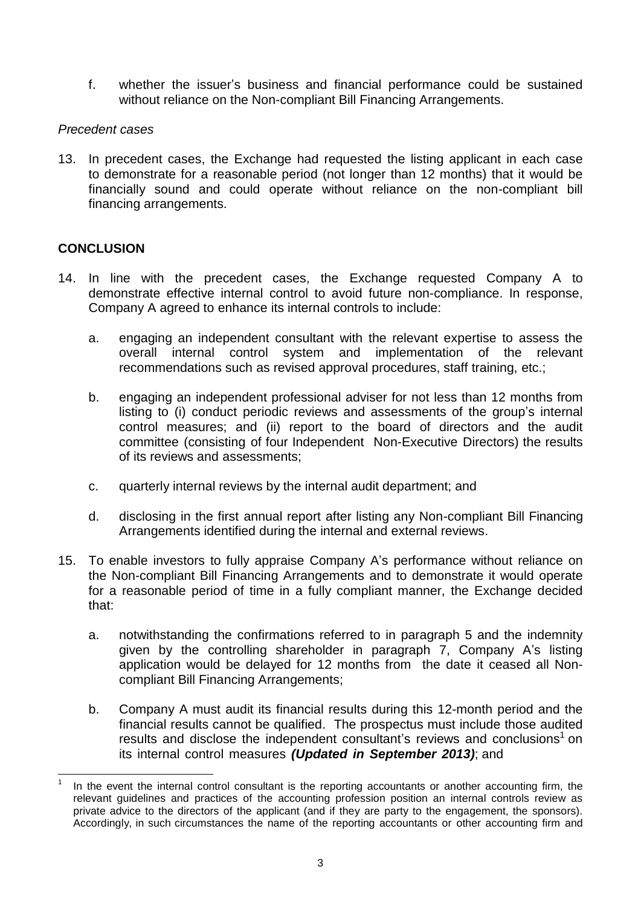f. whether the issuer's business and financial performance could be sustained without reliance on the Non-compliant Bill Financing Arrangements.

# *Precedent cases*

13. In precedent cases, the Exchange had requested the listing applicant in each case to demonstrate for a reasonable period (not longer than 12 months) that it would be financially sound and could operate without reliance on the non-compliant bill financing arrangements.

### **CONCLUSION**

- 14. In line with the precedent cases, the Exchange requested Company A to demonstrate effective internal control to avoid future non-compliance. In response, Company A agreed to enhance its internal controls to include:
	- a. engaging an independent consultant with the relevant expertise to assess the overall internal control system and implementation of the relevant recommendations such as revised approval procedures, staff training, etc.;
	- b. engaging an independent professional adviser for not less than 12 months from listing to (i) conduct periodic reviews and assessments of the group's internal control measures; and (ii) report to the board of directors and the audit committee (consisting of four Independent Non-Executive Directors) the results of its reviews and assessments;
	- c. quarterly internal reviews by the internal audit department; and
	- d. disclosing in the first annual report after listing any Non-compliant Bill Financing Arrangements identified during the internal and external reviews.
- 15. To enable investors to fully appraise Company A's performance without reliance on the Non-compliant Bill Financing Arrangements and to demonstrate it would operate for a reasonable period of time in a fully compliant manner, the Exchange decided that:
	- a. notwithstanding the confirmations referred to in paragraph 5 and the indemnity given by the controlling shareholder in paragraph 7, Company A's listing application would be delayed for 12 months from the date it ceased all Noncompliant Bill Financing Arrangements;
	- b. Company A must audit its financial results during this 12-month period and the financial results cannot be qualified. The prospectus must include those audited results and disclose the independent consultant's reviews and conclusions<sup>1</sup> on its internal control measures *(Updated in September 2013)*; and

<sup>1</sup> 1 In the event the internal control consultant is the reporting accountants or another accounting firm, the relevant guidelines and practices of the accounting profession position an internal controls review as private advice to the directors of the applicant (and if they are party to the engagement, the sponsors). Accordingly, in such circumstances the name of the reporting accountants or other accounting firm and